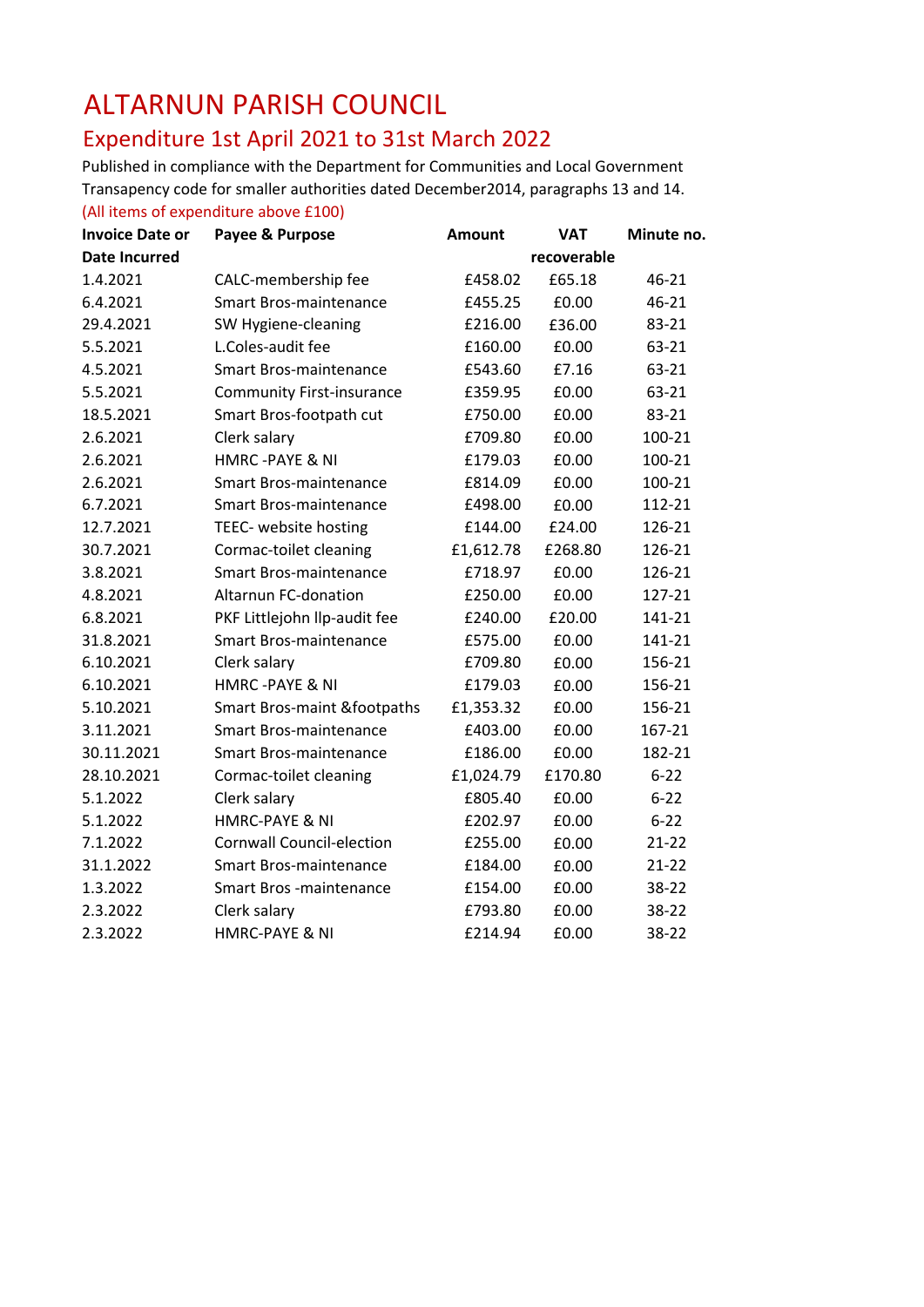## ALTARNUN PARISH COUNCIL

## Expenditure 1st April 2021 to 31st March 2022

Published in compliance with the Department for Communities and Local Government Transapency code for smaller authorities dated December2014, paragraphs 13 and 14.

(All items of expenditure above £100) **Invoice Date or Payee & Purpose Amount VAT Minute no. Date Incurred recoverable** 1.4.2021 CALC-membership fee 6458.02 £65.18 46-21 6.4.2021 Smart Bros-maintenance £455.25 £0.00 46-21 29.4.2021 SW Hygiene-cleaning £216.00 £36.00 83-21 5.5.2021 L.Coles-audit fee  $\overline{63-21}$  E160.00  $\overline{63-21}$ 4.5.2021 Smart Bros-maintenance £543.60 £7.16 63-21 5.5.2021 Community First-insurance £359.95 £0.00 63-21 18.5.2021 Smart Bros-footpath cut £750.00 £0.00 83-21 2.6.2021 Clerk salary £709.80 £0.00 100-21 2.6.2021 HMRC -PAYE & NI £179.03 £0.00 100-21 2.6.2021 Smart Bros-maintenance £814.09 £0.00 100-21 6.7.2021 Smart Bros-maintenance £498.00 £0.00 112-21 12.7.2021 TEEC- website hosting £144.00 £24.00 126-21 30.7.2021 Cormac-toilet cleaning £1,612.78 £268.80 126-21 3.8.2021 Smart Bros-maintenance £718.97 £0.00 126-21 4.8.2021 Altarnun FC-donation £250.00 £0.00 127-21 6.8.2021 PKF Littlejohn llp-audit fee £240.00 £20.00 141-21 31.8.2021 Smart Bros-maintenance £575.00 £0.00 141-21 6.10.2021 Clerk salary £709.80 £0.00 156-21 6.10.2021 HMRC -PAYE & NI £179.03 £0.00 156-21 5.10.2021 Smart Bros-maint &footpaths £1,353.32 £0.00 156-21 3.11.2021 Smart Bros-maintenance £403.00 £0.00 167-21 30.11.2021 Smart Bros-maintenance £186.00 £0.00 182-21 28.10.2021 Cormac-toilet cleaning £1,024.79 £170.80 6-22 5.1.2022 Clerk salary £805.40 £0.00 6-22 5.1.2022 HMRC-PAYE & NI £202.97 £0.00 6-22 7.1.2022 Cornwall Council-election £255.00 £0.00 21-22 31.1.2022 Smart Bros-maintenance £184.00 £0.00 21-22 1.3.2022 Smart Bros -maintenance £154.00 £0.00 38-22 2.3.2022 Clerk salary £793.80 £0.00 38-22 2.3.2022 HMRC-PAYE & NI £214.94 £0.00 38-22